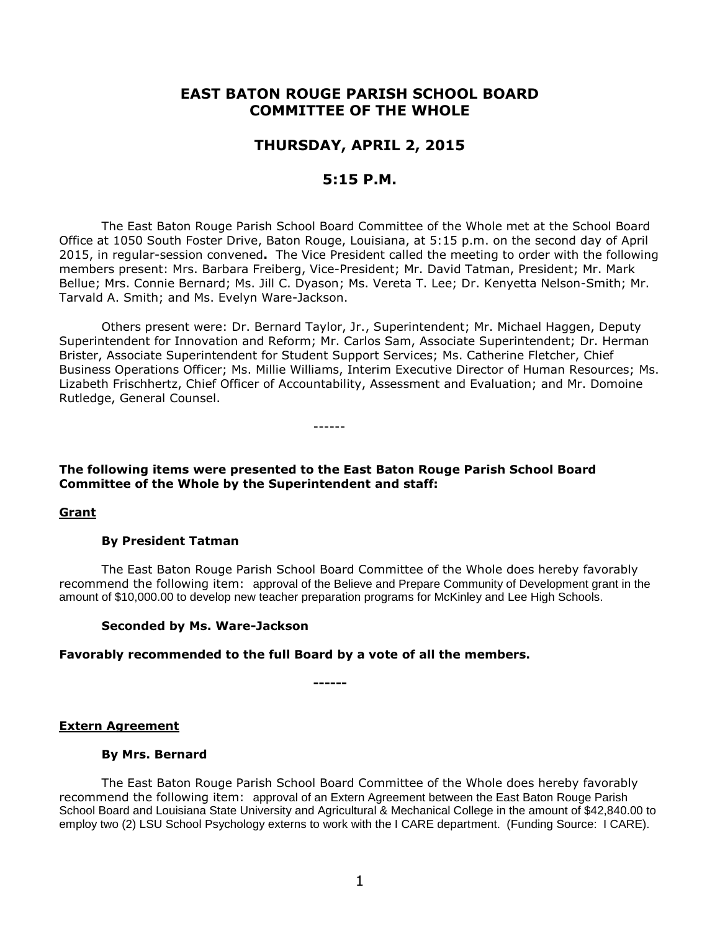# **EAST BATON ROUGE PARISH SCHOOL BOARD COMMITTEE OF THE WHOLE**

# **THURSDAY, APRIL 2, 2015**

# **5:15 P.M.**

The East Baton Rouge Parish School Board Committee of the Whole met at the School Board Office at 1050 South Foster Drive, Baton Rouge, Louisiana, at 5:15 p.m. on the second day of April 2015, in regular-session convened**.** The Vice President called the meeting to order with the following members present: Mrs. Barbara Freiberg, Vice-President; Mr. David Tatman, President; Mr. Mark Bellue; Mrs. Connie Bernard; Ms. Jill C. Dyason; Ms. Vereta T. Lee; Dr. Kenyetta Nelson-Smith; Mr. Tarvald A. Smith; and Ms. Evelyn Ware-Jackson.

Others present were: Dr. Bernard Taylor, Jr., Superintendent; Mr. Michael Haggen, Deputy Superintendent for Innovation and Reform; Mr. Carlos Sam, Associate Superintendent; Dr. Herman Brister, Associate Superintendent for Student Support Services; Ms. Catherine Fletcher, Chief Business Operations Officer; Ms. Millie Williams, Interim Executive Director of Human Resources; Ms. Lizabeth Frischhertz, Chief Officer of Accountability, Assessment and Evaluation; and Mr. Domoine Rutledge, General Counsel.

------

# **The following items were presented to the East Baton Rouge Parish School Board Committee of the Whole by the Superintendent and staff:**

### **Grant**

### **By President Tatman**

The East Baton Rouge Parish School Board Committee of the Whole does hereby favorably recommend the following item: approval of the Believe and Prepare Community of Development grant in the amount of \$10,000.00 to develop new teacher preparation programs for McKinley and Lee High Schools.

### **Seconded by Ms. Ware-Jackson**

### **Favorably recommended to the full Board by a vote of all the members.**

**------**

**Extern Agreement**

### **By Mrs. Bernard**

The East Baton Rouge Parish School Board Committee of the Whole does hereby favorably recommend the following item: approval of an Extern Agreement between the East Baton Rouge Parish School Board and Louisiana State University and Agricultural & Mechanical College in the amount of \$42,840.00 to employ two (2) LSU School Psychology externs to work with the I CARE department. (Funding Source: I CARE).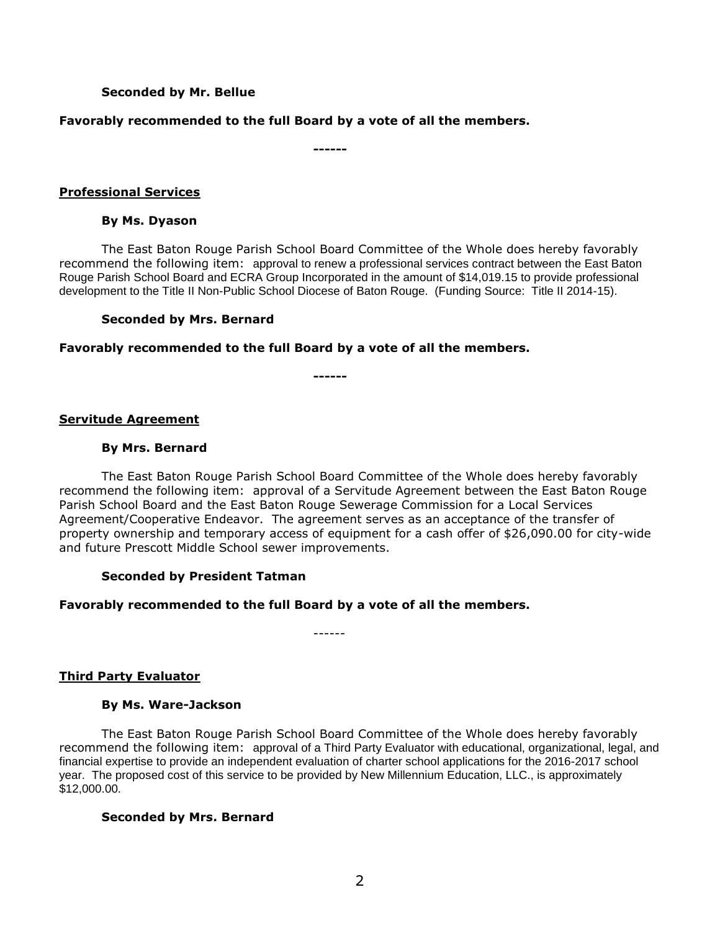## **Seconded by Mr. Bellue**

## **Favorably recommended to the full Board by a vote of all the members.**

**------**

### **Professional Services**

### **By Ms. Dyason**

The East Baton Rouge Parish School Board Committee of the Whole does hereby favorably recommend the following item: approval to renew a professional services contract between the East Baton Rouge Parish School Board and ECRA Group Incorporated in the amount of \$14,019.15 to provide professional development to the Title II Non-Public School Diocese of Baton Rouge. (Funding Source: Title II 2014-15).

## **Seconded by Mrs. Bernard**

**Favorably recommended to the full Board by a vote of all the members.**

**------**

**Servitude Agreement**

## **By Mrs. Bernard**

The East Baton Rouge Parish School Board Committee of the Whole does hereby favorably recommend the following item: approval of a Servitude Agreement between the East Baton Rouge Parish School Board and the East Baton Rouge Sewerage Commission for a Local Services Agreement/Cooperative Endeavor. The agreement serves as an acceptance of the transfer of property ownership and temporary access of equipment for a cash offer of \$26,090.00 for city-wide and future Prescott Middle School sewer improvements.

### **Seconded by President Tatman**

# **Favorably recommended to the full Board by a vote of all the members.**

------

# **Third Party Evaluator**

### **By Ms. Ware-Jackson**

The East Baton Rouge Parish School Board Committee of the Whole does hereby favorably recommend the following item: approval of a Third Party Evaluator with educational, organizational, legal, and financial expertise to provide an independent evaluation of charter school applications for the 2016-2017 school year. The proposed cost of this service to be provided by New Millennium Education, LLC., is approximately \$12,000.00.

### **Seconded by Mrs. Bernard**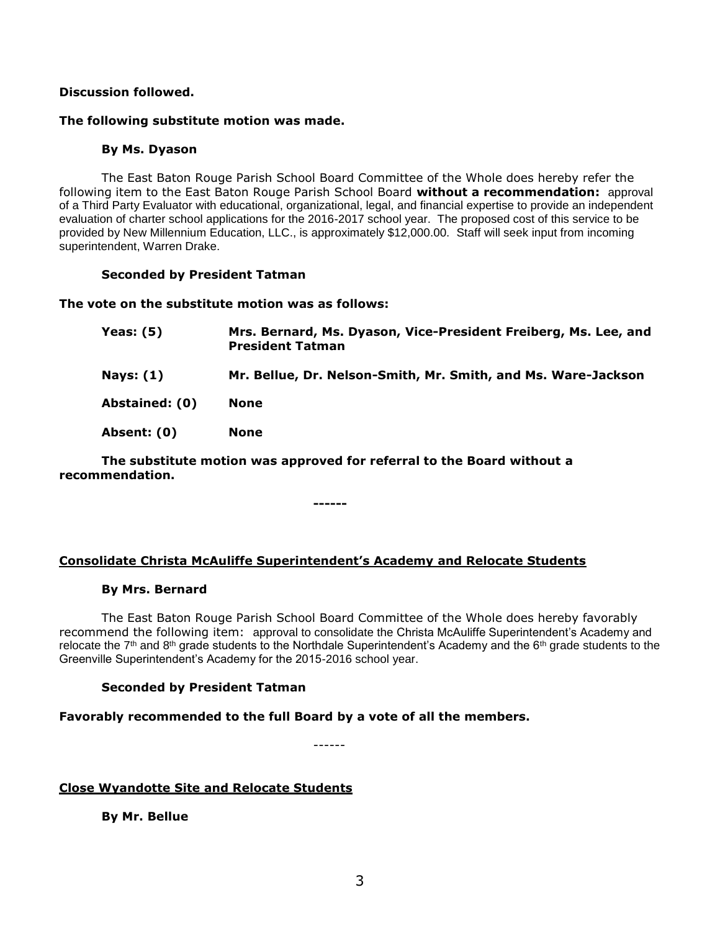## **Discussion followed.**

### **The following substitute motion was made.**

## **By Ms. Dyason**

The East Baton Rouge Parish School Board Committee of the Whole does hereby refer the following item to the East Baton Rouge Parish School Board **without a recommendation:** approval of a Third Party Evaluator with educational, organizational, legal, and financial expertise to provide an independent evaluation of charter school applications for the 2016-2017 school year. The proposed cost of this service to be provided by New Millennium Education, LLC., is approximately \$12,000.00. Staff will seek input from incoming superintendent, Warren Drake.

### **Seconded by President Tatman**

### **The vote on the substitute motion was as follows:**

| <b>Yeas: (5)</b> | Mrs. Bernard, Ms. Dyason, Vice-President Freiberg, Ms. Lee, and<br><b>President Tatman</b> |
|------------------|--------------------------------------------------------------------------------------------|
| Nays: $(1)$      | Mr. Bellue, Dr. Nelson-Smith, Mr. Smith, and Ms. Ware-Jackson                              |
| Abstained: (0)   | <b>None</b>                                                                                |
| Absent: (0)      | <b>None</b>                                                                                |

**The substitute motion was approved for referral to the Board without a recommendation.**

**------**

# **Consolidate Christa McAuliffe Superintendent's Academy and Relocate Students**

### **By Mrs. Bernard**

The East Baton Rouge Parish School Board Committee of the Whole does hereby favorably recommend the following item: approval to consolidate the Christa McAuliffe Superintendent's Academy and relocate the  $7<sup>th</sup>$  and  $8<sup>th</sup>$  grade students to the Northdale Superintendent's Academy and the  $6<sup>th</sup>$  grade students to the Greenville Superintendent's Academy for the 2015-2016 school year.

# **Seconded by President Tatman**

### **Favorably recommended to the full Board by a vote of all the members.**

------

**Close Wyandotte Site and Relocate Students**

**By Mr. Bellue**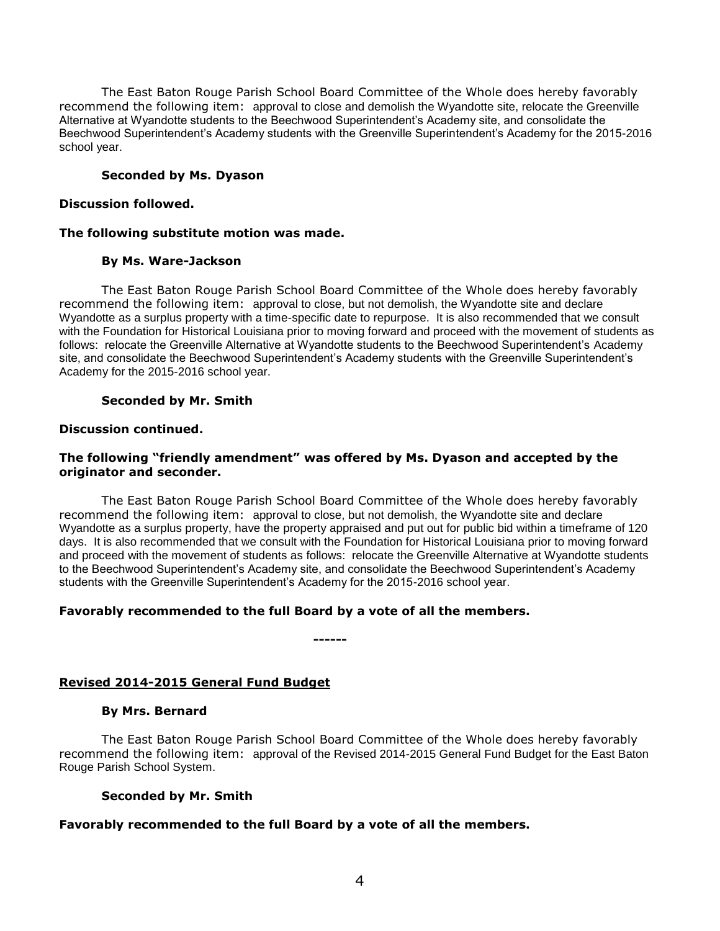The East Baton Rouge Parish School Board Committee of the Whole does hereby favorably recommend the following item: approval to close and demolish the Wyandotte site, relocate the Greenville Alternative at Wyandotte students to the Beechwood Superintendent's Academy site, and consolidate the Beechwood Superintendent's Academy students with the Greenville Superintendent's Academy for the 2015-2016 school year.

# **Seconded by Ms. Dyason**

## **Discussion followed.**

## **The following substitute motion was made.**

## **By Ms. Ware-Jackson**

The East Baton Rouge Parish School Board Committee of the Whole does hereby favorably recommend the following item: approval to close, but not demolish, the Wyandotte site and declare Wyandotte as a surplus property with a time-specific date to repurpose. It is also recommended that we consult with the Foundation for Historical Louisiana prior to moving forward and proceed with the movement of students as follows: relocate the Greenville Alternative at Wyandotte students to the Beechwood Superintendent's Academy site, and consolidate the Beechwood Superintendent's Academy students with the Greenville Superintendent's Academy for the 2015-2016 school year.

## **Seconded by Mr. Smith**

## **Discussion continued.**

## **The following "friendly amendment" was offered by Ms. Dyason and accepted by the originator and seconder.**

The East Baton Rouge Parish School Board Committee of the Whole does hereby favorably recommend the following item: approval to close, but not demolish, the Wyandotte site and declare Wyandotte as a surplus property, have the property appraised and put out for public bid within a timeframe of 120 days. It is also recommended that we consult with the Foundation for Historical Louisiana prior to moving forward and proceed with the movement of students as follows: relocate the Greenville Alternative at Wyandotte students to the Beechwood Superintendent's Academy site, and consolidate the Beechwood Superintendent's Academy students with the Greenville Superintendent's Academy for the 2015-2016 school year.

# **Favorably recommended to the full Board by a vote of all the members.**

**------**

# **Revised 2014-2015 General Fund Budget**

### **By Mrs. Bernard**

The East Baton Rouge Parish School Board Committee of the Whole does hereby favorably recommend the following item: approval of the Revised 2014-2015 General Fund Budget for the East Baton Rouge Parish School System.

# **Seconded by Mr. Smith**

# **Favorably recommended to the full Board by a vote of all the members.**